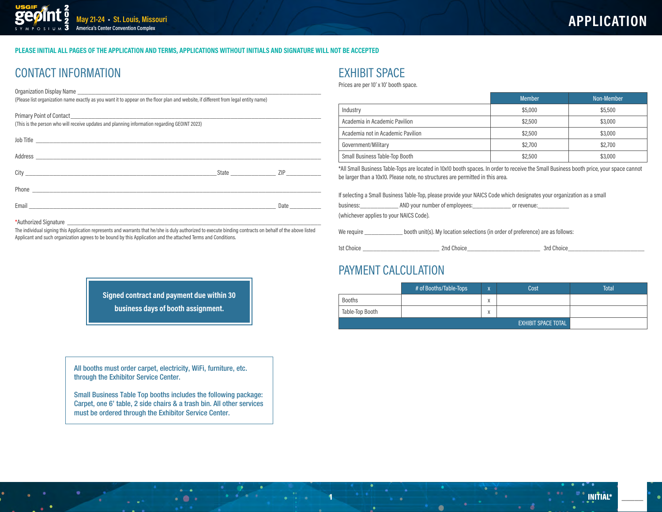#### PLEASE INITIAL ALL PAGES OF THE APPLICATION AND TERMS, APPLICATIONS WITHOUT INITIALS AND SIGNATURE WILL NOT BE ACCEPTED

## **CONTACT INFORMATION**

**Organization Display Name** 

(Please list organization name exactly as you want it to appear on the floor plan and website, if different from legal entity name)

| (This is the person who will receive updates and planning information regarding GEOINT 2023) |                                                                                                                 |  |
|----------------------------------------------------------------------------------------------|-----------------------------------------------------------------------------------------------------------------|--|
|                                                                                              |                                                                                                                 |  |
|                                                                                              |                                                                                                                 |  |
|                                                                                              | State ZIP                                                                                                       |  |
|                                                                                              |                                                                                                                 |  |
|                                                                                              | Date and the state of the state of the state of the state of the state of the state of the state of the state o |  |
|                                                                                              |                                                                                                                 |  |

#### \*Authorized Signature

The individual signing this Application represents and warrants that he/she is duly authorized to execute binding contracts on behalf of the above listed Applicant and such organization agrees to be bound by this Application and the attached Terms and Conditions.

### **EXHIBIT SPACE**

Prices are per 10' x 10' booth space.

|                                   | <b>Member</b> | Non-Member |
|-----------------------------------|---------------|------------|
| Industry                          | \$5,000       | \$5,500    |
| Academia in Academic Pavilion     | \$2,500       | \$3,000    |
| Academia not in Academic Pavilion | \$2,500       | \$3,000    |
| Government/Military               | \$2,700       | \$2,700    |
| Small Business Table-Top Booth    | \$2,500       | \$3,000    |

\*All Small Business Table-Tops are located in 10x10 booth spaces. In order to receive the Small Business booth price, your space cannot be larger than a 10x10. Please note, no structures are permitted in this area.

If selecting a Small Business Table-Top, please provide your NAICS Code which designates your organization as a small

| business: |  | AND your number of employees: | or revenue: |
|-----------|--|-------------------------------|-------------|
|           |  |                               |             |

(whichever applies to your NAICS Code).

We require booth unit(s). My location selections (in order of preference) are as follows:

1st Choice

2nd Choice 3rd Choice

### PAYMENT CALCULATION

|                 | # of Booths/Table-Tops | $\mathbf{v}$<br>$\overline{\phantom{a}}$ | Cost | <b>Total</b> |
|-----------------|------------------------|------------------------------------------|------|--------------|
| <b>Booths</b>   |                        | X                                        |      |              |
| Table-Top Booth |                        | $\checkmark$<br>$\lambda$                |      |              |
|                 |                        |                                          |      |              |

Signed contract and payment due within 30 business days of booth assignment.

All booths must order carpet, electricity, WiFi, furniture, etc. through the Exhibitor Service Center.

Small Business Table Top booths includes the following package: Carpet, one 6' table, 2 side chairs & a trash bin. All other services must be ordered through the Exhibitor Service Center.

 $-0.1$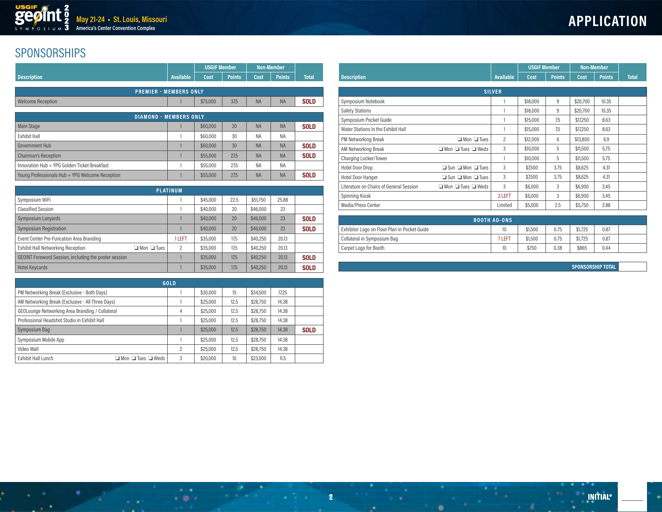## SPONSORSHIPS

|                                                 |                               | <b>USGIF Member</b>  |               |             | <b>Non-Member</b> |              |
|-------------------------------------------------|-------------------------------|----------------------|---------------|-------------|-------------------|--------------|
| <b>Description</b>                              | <b>Available</b>              | Cost                 | <b>Points</b> | <b>Cost</b> | <b>Points</b>     | <b>Total</b> |
|                                                 | <b>PREMIER - MEMBERS ONLY</b> |                      |               |             |                   |              |
| <b>Welcome Reception</b>                        |                               | \$75,000             | 37.5          | <b>NA</b>   | <b>NA</b>         | <b>SOLD</b>  |
|                                                 | <b>DIAMOND - MEMBERS ONLY</b> |                      |               |             |                   |              |
| <b>Main Stage</b>                               |                               | \$60,000             | 30            | <b>NA</b>   | <b>NA</b>         | <b>SOLD</b>  |
| <b>Exhibit Hall</b>                             |                               | \$60,000             | 30            | <b>NA</b>   | <b>NA</b>         |              |
| Government Hub                                  |                               | \$60,000             | 30            | <b>NA</b>   | <b>NA</b>         | <b>SOLD</b>  |
| <b>Chairman's Reception</b>                     |                               | \$55,000             | 27.5          | <b>NA</b>   | <b>NA</b>         | <b>SOLD</b>  |
| Innovation Hub + YPG Golden Ticket Breakfast    |                               | \$55,000             | 27.5          | <b>NA</b>   | <b>NA</b>         |              |
| Young Professionals Hub + YPG Welcome Reception |                               | \$55,000             | 27.5          | <b>NA</b>   | <b>NA</b>         | <b>SOLD</b>  |
|                                                 |                               |                      |               |             |                   |              |
|                                                 | <b>PLATINUM</b>               |                      |               |             |                   |              |
| Symposium WiFi                                  |                               | \$45,000             | 22.5          | \$51,750    | 25,88             |              |
| <b>Classified Session</b>                       |                               | \$40,000             | 20            | \$46,000    | 23                |              |
| Symposium Lanyards                              |                               | \$40,000             | 20            | \$46,000    | 23                | <b>SOLD</b>  |
| .                                               |                               | $\sim$ $\sim$ $\sim$ |               |             |                   |              |

| Symposium Registration                                             |        | \$40,000 | 20   | \$46,000 | 23    | <b>SOLD</b> |
|--------------------------------------------------------------------|--------|----------|------|----------|-------|-------------|
| Event Center Pre-Funcation Area Branding                           | 1 LEFT | \$35,000 | 17.5 | \$40,250 | 20.13 |             |
| <b>Exhibit Hall Networking Reception</b><br>$\Box$ Mon $\Box$ Tues |        | \$35,000 | 17.5 | \$40,250 | 20.13 |             |
| GEOINT Foreword Session, including the poster session              |        | \$35,000 | 17.5 | \$40,250 | 20.13 | <b>SOLD</b> |
| <b>Hotel Keycards</b>                                              |        | \$35,000 | 17.5 | \$40,250 | 20.13 | <b>SOLD</b> |

| GOLD                                                     |                |          |      |          |       |             |  |  |
|----------------------------------------------------------|----------------|----------|------|----------|-------|-------------|--|--|
| PM Networking Break (Exclusive - Both Days)              |                | \$30,000 | 15   | \$34,500 | 17.25 |             |  |  |
| AM Networking Break (Exclusive - All Three Days)         |                | \$25,000 | 12.5 | \$28,750 | 14.38 |             |  |  |
| GEOLounge Networking Area Branding / Collateral          | 4              | \$25,000 | 12.5 | \$28,750 | 14.38 |             |  |  |
| Professional Headshot Studio in Exhibit Hall             |                | \$25,000 | 12.5 | \$28,750 | 14.38 |             |  |  |
| Symposium Bag                                            |                | \$25,000 | 12.5 | \$28,750 | 14.38 | <b>SOLD</b> |  |  |
| Symposium Mobile App                                     |                | \$25,000 | 12.5 | \$28,750 | 14.38 |             |  |  |
| Video Wall                                               | $\overline{c}$ | \$25,000 | 12.5 | \$28,750 | 14.38 |             |  |  |
| Exhibit Hall Lunch<br>$\Box$ Mon $\Box$ Tues $\Box$ Weds | 3              | \$20,000 | 10   | \$23,000 | 11.5  |             |  |  |

 $\mathcal{L}_{\mathbf{B}}$  , and  $\mathcal{L}_{\mathbf{B}}$ 

2

|                                         |                                    |                  |          | <b>USGIF Member</b> |          | <b>Non-Member</b> |              |
|-----------------------------------------|------------------------------------|------------------|----------|---------------------|----------|-------------------|--------------|
| <b>Description</b>                      |                                    | <b>Available</b> | Cost     | <b>Points</b>       | Cost     | <b>Points</b>     | <b>Total</b> |
|                                         |                                    | <b>SILVER</b>    |          |                     |          |                   |              |
| Symposium Notebook                      |                                    |                  | \$18,000 | 9                   | \$20,700 | 10.35             |              |
| <b>Safety Stations</b>                  |                                    |                  | \$18,000 | 9                   | \$20,700 | 10.35             |              |
| Symposium Pocket Guide                  |                                    |                  | \$15,000 | 7.5                 | \$17,250 | 8.63              |              |
| Water Stations in the Exhibit Hall      |                                    |                  | \$15,000 | 7.5                 | \$17,250 | 8.63              |              |
| PM Networking Break                     | $\Box$ Mon $\Box$ Tues             | $\overline{c}$   | \$12,000 | 6                   | \$13,800 | 6.9               |              |
| AM Networking Break                     | $\Box$ Mon $\Box$ Tues $\Box$ Weds | 3                | \$10,000 | 5                   | \$11,500 | 5.75              |              |
| Charging Locker/Tower                   |                                    |                  | \$10,000 | 5                   | \$11,500 | 5.75              |              |
| <b>Hotel Door Drop</b>                  | $\Box$ Sun $\Box$ Mon $\Box$ Tues  | 3                | \$7,500  | 3.75                | \$8,625  | 4.31              |              |
| <b>Hotel Door Hanger</b>                | $\Box$ Sun $\Box$ Mon $\Box$ Tues  | 3                | \$7,500  | 3.75                | \$8,625  | 4.31              |              |
| Literature on Chairs of General Session | $\Box$ Mon $\Box$ Tues $\Box$ Weds | 3                | \$6,000  | 3                   | \$6,900  | 3.45              |              |
| Spinning Kiosk                          |                                    | 2 LEFT           | \$6,000  | 3                   | \$6,900  | 3.45              |              |
| Media/Press Center                      |                                    | Limited          | \$5,000  | 2.5                 | \$5,750  | 2.88              |              |

| <b>BOOTH AD-ONS</b>                          |        |         |      |         |      |  |  |  |
|----------------------------------------------|--------|---------|------|---------|------|--|--|--|
| Exhibitor Logo on Floor Plan in Pocket Guide | 10     | \$1,500 | 0.75 | \$1,725 | 0.87 |  |  |  |
| Collateral in Symposium Bag                  | 7 LEFT | \$1,500 | 0.75 | \$1,725 | 0.87 |  |  |  |
| Carpet Logo for Booth                        | 10     | \$750   | 0.38 | \$865   | 0.44 |  |  |  |

٠

**SPONSORSHIP TOTAL**

\_\_\_\_\_

×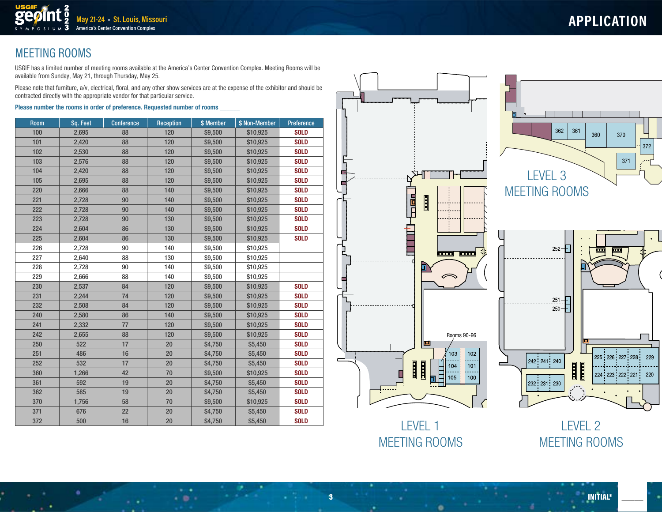# MEETING ROOMS

USGIF has a limited number of meeting rooms available at the America's Center Convention Complex. Meeting Rooms will be available from Sunday, May 21, through Thursday, May 25.

Please note that furniture, a/v, electrical, floral, and any other show services are at the expense of the exhibitor and should be contracted directly with the appropriate vendor for that particular service.

#### Please number the rooms in order of preference. Requested number of rooms

**May 21-24 • St. Louis, Missouri America's Center Convention Complex**

| <b>Room</b> | Sq. Feet | <b>Conference</b> | <b>Reception</b> | \$ Member | \$ Non-Member | Preference  |
|-------------|----------|-------------------|------------------|-----------|---------------|-------------|
| 100         | 2,695    | 88                | 120              | \$9,500   | \$10,925      | <b>SOLD</b> |
| 101         | 2,420    | 88                | 120              | \$9,500   | \$10,925      | <b>SOLD</b> |
| 102         | 2,530    | 88                | 120              | \$9,500   | \$10,925      | <b>SOLD</b> |
| 103         | 2,576    | 88                | 120              | \$9,500   | \$10,925      | <b>SOLD</b> |
| 104         | 2,420    | 88                | 120              | \$9,500   | \$10,925      | <b>SOLD</b> |
| 105         | 2,695    | 88                | 120              | \$9,500   | \$10,925      | <b>SOLD</b> |
| 220         | 2,666    | 88                | 140              | \$9,500   | \$10,925      | <b>SOLD</b> |
| 221         | 2,728    | 90                | 140              | \$9,500   | \$10,925      | <b>SOLD</b> |
| 222         | 2,728    | 90                | 140              | \$9,500   | \$10,925      | <b>SOLD</b> |
| 223         | 2,728    | 90                | 130              | \$9,500   | \$10,925      | <b>SOLD</b> |
| 224         | 2,604    | 86                | 130              | \$9,500   | \$10,925      | <b>SOLD</b> |
| 225         | 2,604    | 86                | 130              | \$9,500   | \$10,925      | <b>SOLD</b> |
| 226         | 2,728    | 90                | 140              | \$9,500   | \$10,925      |             |
| 227         | 2,640    | 88                | 130              | \$9,500   | \$10,925      |             |
| 228         | 2,728    | 90                | 140              | \$9,500   | \$10,925      |             |
| 229         | 2,666    | 88                | 140              | \$9,500   | \$10,925      |             |
| 230         | 2,537    | 84                | 120              | \$9,500   | \$10,925      | <b>SOLD</b> |
| 231         | 2,244    | 74                | 120              | \$9,500   | \$10,925      | <b>SOLD</b> |
| 232         | 2,508    | 84                | 120              | \$9,500   | \$10,925      | <b>SOLD</b> |
| 240         | 2,580    | 86                | 140              | \$9,500   | \$10,925      | <b>SOLD</b> |
| 241         | 2,332    | 77                | 120              | \$9,500   | \$10,925      | <b>SOLD</b> |
| 242         | 2,655    | 88                | 120              | \$9,500   | \$10,925      | <b>SOLD</b> |
| 250         | 522      | 17                | 20               | \$4,750   | \$5,450       | <b>SOLD</b> |
| 251         | 486      | 16                | 20               | \$4,750   | \$5,450       | <b>SOLD</b> |
| 252         | 532      | 17                | 20               | \$4,750   | \$5,450       | <b>SOLD</b> |
| 360         | 1,266    | 42                | 70               | \$9,500   | \$10,925      | <b>SOLD</b> |
| 361         | 592      | 19                | 20               | \$4,750   | \$5,450       | <b>SOLD</b> |
| 362         | 585      | 19                | 20               | \$4,750   | \$5,450       | <b>SOLD</b> |
| 370         | 1,756    | 58                | 70               | \$9,500   | \$10,925      | <b>SOLD</b> |
| 371         | 676      | 22                | 20               | \$4,750   | \$5,450       | <b>SOLD</b> |
| 372         | 500      | 16                | 20               | \$4,750   | \$5,450       | <b>SOLD</b> |



LEVEL 1 MEETING ROOMS

LEVEL 2 MEETING ROOMS

\_\_\_\_\_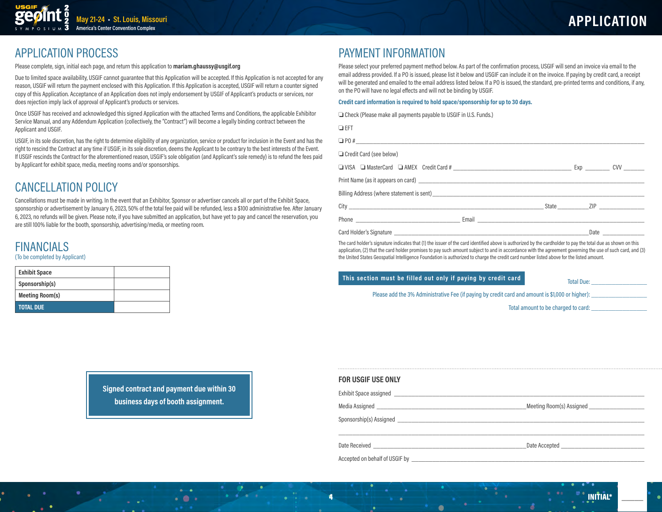

### **APPLICATION PROCESS**

Please complete, sign, initial each page, and return this application to mariam.ghaussy@usgif.org

Due to limited space availability, USGIF cannot guarantee that this Application will be accepted. If this Application is not accepted for any reason, USGIF will return the payment enclosed with this Application. If this Application is accepted, USGIF will return a counter signed copy of this Application. Acceptance of an Application does not imply endorsement by USGIF of Applicant's products or services, nor does rejection imply lack of approval of Applicant's products or services.

Once USGIF has received and acknowledged this signed Application with the attached Terms and Conditions, the applicable Exhibitor Service Manual, and any Addendum Application (collectively, the "Contract") will become a legally binding contract between the Applicant and USGIF.

USGIF, in its sole discretion, has the right to determine eligibility of any organization, service or product for inclusion in the Event and has the right to rescind the Contract at any time if USGIF, in its sole discretion, deems the Applicant to be contrary to the best interests of the Event. If USGIF rescinds the Contract for the aforementioned reason, USGIF's sole obligation (and Applicant's sole remedy) is to refund the fees paid by Applicant for exhibit space, media, meeting rooms and/or sponsorships.

## **CANCELLATION POLICY**

Cancellations must be made in writing. In the event that an Exhibitor, Sponsor or advertiser cancels all or part of the Exhibit Space, sponsorship or advertisement by January 6, 2023, 50% of the total fee paid will be refunded, less a \$100 administrative fee. After January 6, 2023, no refunds will be given. Please note, if you have submitted an application, but have yet to pay and cancel the reservation, you are still 100% liable for the booth, sponsorship, advertising/media, or meeting room.

## **FINANCIALS**

#### (To be completed by Applicant)

| <b>Exhibit Space</b>   |  |
|------------------------|--|
| Sponsorship(s)         |  |
| <b>Meeting Room(s)</b> |  |
| <b>TOTAL DUE</b>       |  |

### **PAYMENT INFORMATION**

Please select your preferred payment method below. As part of the confirmation process, USGIF will send an invoice via email to the email address provided. If a PO is issued, please list it below and USGIF can include it on the invoice. If paying by credit card, a receipt will be generated and emailed to the email address listed below. If a PO is issued, the standard, pre-printed terms and conditions, if any, on the PO will have no legal effects and will not be binding by USGIF.

#### Credit card information is required to hold space/sponsorship for up to 30 days.

Check (Please make all payments payable to USGIF in U.S. Funds.)

| $\Box$ EFT                                                                                   |  |      |  |
|----------------------------------------------------------------------------------------------|--|------|--|
|                                                                                              |  |      |  |
| Credit Card (see below)                                                                      |  |      |  |
|                                                                                              |  |      |  |
|                                                                                              |  |      |  |
|                                                                                              |  |      |  |
|                                                                                              |  |      |  |
| Phone <b>contract and contract and contract of the Contract Authority</b> Email <b>Email</b> |  |      |  |
|                                                                                              |  | Date |  |

The card holder's signature indicates that (1) the issuer of the card identified above is authorized by the cardholder to pay the total due as shown on this application, (2) that the card holder promises to pay such amount subject to and in accordance with the agreement governing the use of such card, and (3) the United States Geospatial Intelligence Foundation is authorized to charge the credit card number listed above for the listed amount.

### This section must be filled out only if paying by credit card

**Total Due:** 

**INITIAL\*** 

Please add the 3% Administrative Fee (if paying by credit card and amount is \$1,000 or higher):

Total amount to be charged to card:

| <b>FOR USGIF USE ONLY</b>                                                                                                                                                                                                           |                                 |
|-------------------------------------------------------------------------------------------------------------------------------------------------------------------------------------------------------------------------------------|---------------------------------|
|                                                                                                                                                                                                                                     |                                 |
|                                                                                                                                                                                                                                     | Meeting Room(s) Assigned        |
|                                                                                                                                                                                                                                     |                                 |
|                                                                                                                                                                                                                                     | Date Accepted <b>example 20</b> |
| Accepted on behalf of USGIF by <b>example 2008</b> and 2008 and 2008 and 2008 and 2008 and 2008 and 2008 and 2008 and 2008 and 2008 and 2008 and 2008 and 2008 and 2008 and 2008 and 2008 and 2008 and 2008 and 2008 and 2008 and 2 |                                 |

Signed contract and payment due within 30 business days of booth assignment.

 $-0.1$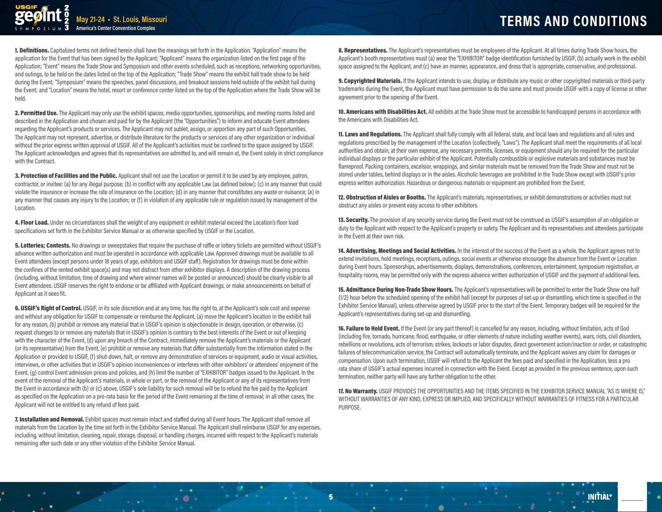**May 21-24 • St. Louis, Missouri America's Center Convention Complex**

1. Definitions. Capitalized terms not defined herein shall have the meanings set forth in the Application. "Application" means the application for the Event that has been signed by the Applicant; "Applicant" means the organization listed on the first page of the Application; "Event" means the Trade Show and Symposium and other events scheduled, such as receptions, networking opportunities, and outings, to be held on the dates listed on the top of the Application; "Trade Show" means the exhibit hall trade show to be held during the Event; "Symposium" means the speeches, panel discussions, and breakout sessions held outside of the exhibit hall during the Event; and "Location" means the hotel, resort or conference center listed on the top of the Application where the Trade Show will be held.

2. Permitted Use. The Applicant may only use the exhibit spaces, media opportunities, sponsorships, and meeting rooms listed and described in the Application and chosen and paid for by the Applicant (the "Opportunities") to inform and educate Event attendees regarding the Applicant's products or services. The Applicant may not sublet, assign, or apportion any part of such Opportunities. The Applicant may not represent, advertise, or distribute literature for the products or services of any other organization or individual without the prior express written approval of USGIF. All of the Applicant's activities must be confined to the space assigned by USGIF. The Applicant acknowledges and agrees that its representatives are admitted to, and will remain at, the Event solely in strict compliance with the Contract.

3. Protection of Facilities and the Public. Applicant shall not use the Location or permit it to be used by any employee, patron, contractor, or invitee: (a) for any illegal purpose; (b) in conflict with any applicable Law (as defined below); (c) in any manner that could violate the insurance or increase the rate of insurance on the Location; (d) in any manner that constitutes any waste or nuisance; (e) in any manner that causes any injury to the Location; or (f) in violation of any applicable rule or regulation issued by management of the Location.

4. Floor Load. Under no circumstances shall the weight of any equipment or exhibit material exceed the Location's floor load specifications set forth in the Exhibitor Service Manual or as otherwise specified by USGIF or the Location.

5. Lotteries; Contests. No drawings or sweepstakes that require the purchase of raffle or lottery tickets are permitted without USGIF's advance written authorization and must be operated in accordance with applicable Law. Approved drawings must be available to all Event attendees (except persons under 18 years of age, exhibitors and USGIF staff). Registration for drawings must be done within the confines of the rented exhibit space(s) and may not distract from other exhibitor displays. A description of the drawing process (including, without limitation, time of drawing and where winner names will be posted or announced) should be clearly visible to all Event attendees. USGIF reserves the right to endorse or be affiliated with Applicant drawings, or make announcements on behalf of Applicant as it sees fit.

6. USGIF's Right of Control. USGIF, in its sole discretion and at any time, has the right to, at the Applicant's sole cost and expense and without any obligation for USGIF to compensate or reimburse the Applicant, (a) move the Applicant's location in the exhibit hall for any reason, (b) prohibit or remove any material that in USGIF's opinion is objectionable in design, operation, or otherwise, (c) request changes to or remove any materials that in USGIF's opinion is contrary to the best interests of the Event or out of keeping with the character of the Event, (d) upon any breach of the Contract, immediately remove the Applicant's materials or the Applicant (or its representative) from the Event, (e) prohibit or remove any materials that differ substantially from the information stated in the Application or provided to USGIF, (f) shut-down, halt, or remove any demonstration of services or equipment, audio or visual activities, interviews, or other activities that in USGIF's opinion inconveniences or interferes with other exhibitors' or attendees' enjoyment of the Event, (g) control Event admission prices and policies, and (h) limit the number of "EXHIBITOR" badges issued to the Applicant. In the event of the removal of the Applicant's materials, in whole or part, or the removal of the Applicant or any of its representatives from the Event in accordance with (b) or (c) above, USGIF's sole liability for such removal will be to refund the fee paid by the Applicant as specified on the Application on a pro-rata basis for the period of the Event remaining at the time of removal; in all other cases, the Applicant will not be entitled to any refund of fees paid.

7. Installation and Removal. Exhibit spaces must remain intact and staffed during all Event hours. The Applicant shall remove all materials from the Location by the time set forth in the Exhibitor Service Manual. The Applicant shall reimburse USGIF for any expenses, including, without limitation, cleaning, repair, storage, disposal, or handling charges, incurred with respect to the Applicant's materials remaining after such date or any other violation of the Exhibitor Service Manual.

 $-0.5$ 

8. Representatives. The Applicant's representatives must be employees of the Applicant. At all times during Trade Show hours, the Applicant's booth representatives must (a) wear the "EXHIBITOR" badge identification furnished by USGIF, (b) actually work in the exhibit space assigned to the Applicant, and (c) have an manner, appearance, and dress that is appropriate, conservative, and professional.

9. Copyrighted Materials. If the Applicant intends to use, display, or distribute any music or other copyrighted materials or third-party trademarks during the Event, the Applicant must have permission to do the same and must provide USGIF with a copy of license or other agreement prior to the opening of the Event.

10. Americans with Disabilities Act. All exhibits at the Trade Show must be accessible to handicapped persons in accordance with the Americans with Disabilities Act.

**11. Laws and Regulations.** The Applicant shall fully comply with all federal, state, and local laws and regulations and all rules and regulations prescribed by the management of the Location (collectively, "Laws"). The Applicant shall meet the requirements of all local authorities and obtain, at their own expense, any necessary permits, licenses, or equipment should any be required for the particular individual displays or the particular exhibit of the Applicant. Potentially combustible or explosive materials and substances must be flameproof. Packing containers, excelsior, wrappings, and similar materials must be removed from the Trade Show and must not be stored under tables, behind displays or in the aisles. Alcoholic beverages are prohibited in the Trade Show except with USGIF's prior express written authorization. Hazardous or dangerous materials or equipment are prohibited from the Event.

12. Obstruction of Aisles or Booths. The Applicant's materials, representatives, or exhibit demonstrations or activities must not obstruct any aisles or prevent easy access to other exhibitors.

13. Security. The provision of any security service during the Event must not be construed as USGIF's assumption of an obligation or duty to the Applicant with respect to the Applicant's property or safety. The Applicant and its representatives and attendees participate in the Event at their own risk.

14. Advertising, Meetings and Social Activities. In the interest of the success of the Event as a whole, the Applicant agrees not to extend invitations, hold meetings, receptions, outings, social events or otherwise encourage the absence from the Event or Location during Event hours. Sponsorships, advertisements, displays, demonstrations, conferences, entertainment, symposium registration, or hospitality rooms, may be permitted only with the express advance written authorization of USGIF and the payment of additional fees.

15. Admittance During Non-Trade Show Hours. The Applicant's representatives will be permitted to enter the Trade Show one half (1/2) hour before the scheduled opening of the exhibit hall (except for purposes of set-up or dismantling, which time is specified in the Exhibitor Service Manual), unless otherwise agreed by USGIF prior to the start of the Event. Temporary badges will be required for the Applicant's representatives during set-up and dismantling.

16. Failure to Hold Event. If the Event (or any part thereof) is cancelled for any reason, including, without limitation, acts of God (including fire, tornado, hurricane, flood, earthquake, or other elements of nature including weather events), wars, riots, civil disorders, rebellions or revolutions, acts of terrorism, strikes, lockouts or labor disputes, direct government action/inaction or order, or catastrophic failures of telecommunication service, the Contract will automatically terminate, and the Applicant waives any claim for damages or compensation. Upon such termination, USGIF will refund to the Applicant the fees paid and specified in the Application, less a pro rata share of USGIF's actual expenses incurred in connection with the Event. Except as provided in the previous sentence, upon such termination, neither party will have any further obligation to the other.

17. No Warranty. USGIF PROVIDES THE OPPORTUNITIES AND THE ITEMS SPECIFIED IN THE EXHIBITOR SERVICE MANUAL "AS IS WHERE IS," WITHOUT WARRANTIES OF ANY KIND, EXPRESS OR IMPLIED, AND SPECIFICALLY WITHOUT WARRANTIES OF FITNESS FOR A PARTICULAR **PURPOSE** 

INITIAL\*  $5$   $\blacksquare$   $\blacksquare$   $\blacksquare$   $\blacksquare$   $\blacksquare$   $\blacksquare$   $\blacksquare$   $\blacksquare$   $\blacksquare$   $\blacksquare$   $\blacksquare$   $\blacksquare$   $\blacksquare$   $\blacksquare$   $\blacksquare$   $\blacksquare$   $\blacksquare$   $\blacksquare$   $\blacksquare$   $\blacksquare$   $\blacksquare$   $\blacksquare$   $\blacksquare$   $\blacksquare$   $\blacksquare$   $\blacksquare$   $\blacksquare$   $\blacksquare$   $\blacksquare$   $\blacksquare$   $\blacksquare$